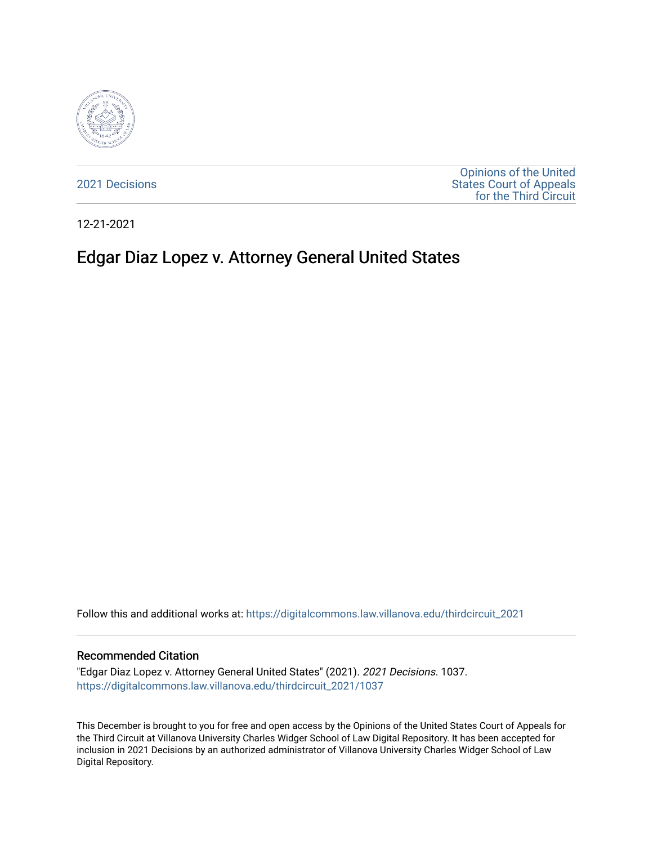

[2021 Decisions](https://digitalcommons.law.villanova.edu/thirdcircuit_2021)

[Opinions of the United](https://digitalcommons.law.villanova.edu/thirdcircuit)  [States Court of Appeals](https://digitalcommons.law.villanova.edu/thirdcircuit)  [for the Third Circuit](https://digitalcommons.law.villanova.edu/thirdcircuit) 

12-21-2021

# Edgar Diaz Lopez v. Attorney General United States

Follow this and additional works at: [https://digitalcommons.law.villanova.edu/thirdcircuit\\_2021](https://digitalcommons.law.villanova.edu/thirdcircuit_2021?utm_source=digitalcommons.law.villanova.edu%2Fthirdcircuit_2021%2F1037&utm_medium=PDF&utm_campaign=PDFCoverPages) 

#### Recommended Citation

"Edgar Diaz Lopez v. Attorney General United States" (2021). 2021 Decisions. 1037. [https://digitalcommons.law.villanova.edu/thirdcircuit\\_2021/1037](https://digitalcommons.law.villanova.edu/thirdcircuit_2021/1037?utm_source=digitalcommons.law.villanova.edu%2Fthirdcircuit_2021%2F1037&utm_medium=PDF&utm_campaign=PDFCoverPages) 

This December is brought to you for free and open access by the Opinions of the United States Court of Appeals for the Third Circuit at Villanova University Charles Widger School of Law Digital Repository. It has been accepted for inclusion in 2021 Decisions by an authorized administrator of Villanova University Charles Widger School of Law Digital Repository.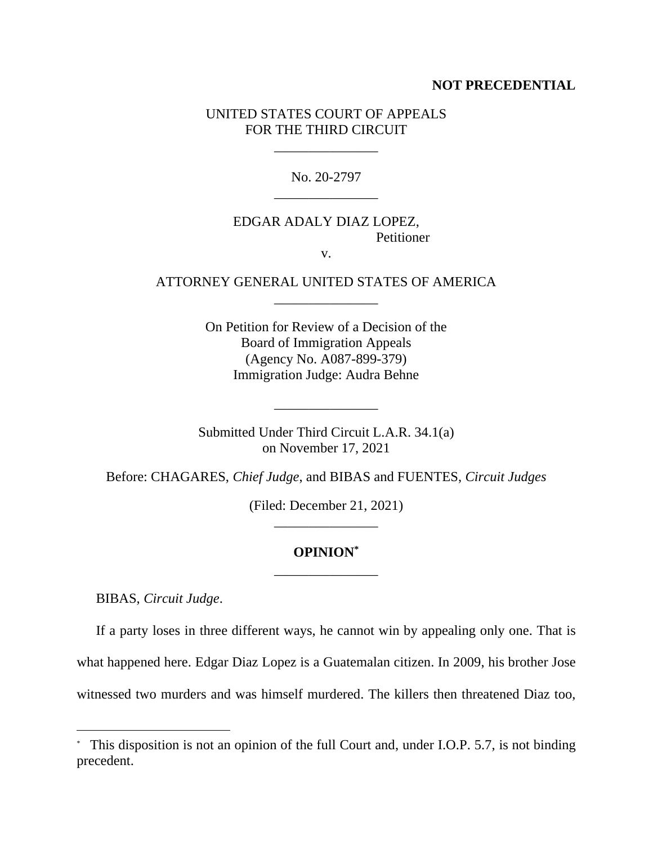#### **NOT PRECEDENTIAL**

#### UNITED STATES COURT OF APPEALS FOR THE THIRD CIRCUIT

\_\_\_\_\_\_\_\_\_\_\_\_\_\_\_

No. 20-2797 \_\_\_\_\_\_\_\_\_\_\_\_\_\_\_

### EDGAR ADALY DIAZ LOPEZ, **Petitioner**

v.

#### ATTORNEY GENERAL UNITED STATES OF AMERICA \_\_\_\_\_\_\_\_\_\_\_\_\_\_\_

On Petition for Review of a Decision of the Board of Immigration Appeals (Agency No. A087-899-379) Immigration Judge: Audra Behne

Submitted Under Third Circuit L.A.R. 34.1(a) on November 17, 2021

\_\_\_\_\_\_\_\_\_\_\_\_\_\_\_

Before: CHAGARES, *Chief Judge*, and BIBAS and FUENTES, *Circuit Judges*

(Filed: December 21, 2021) \_\_\_\_\_\_\_\_\_\_\_\_\_\_\_

## **OPINION\*** \_\_\_\_\_\_\_\_\_\_\_\_\_\_\_

BIBAS, *Circuit Judge*.

If a party loses in three different ways, he cannot win by appealing only one. That is what happened here. Edgar Diaz Lopez is a Guatemalan citizen. In 2009, his brother Jose witnessed two murders and was himself murdered. The killers then threatened Diaz too,

<sup>\*</sup> This disposition is not an opinion of the full Court and, under I.O.P. 5.7, is not binding precedent.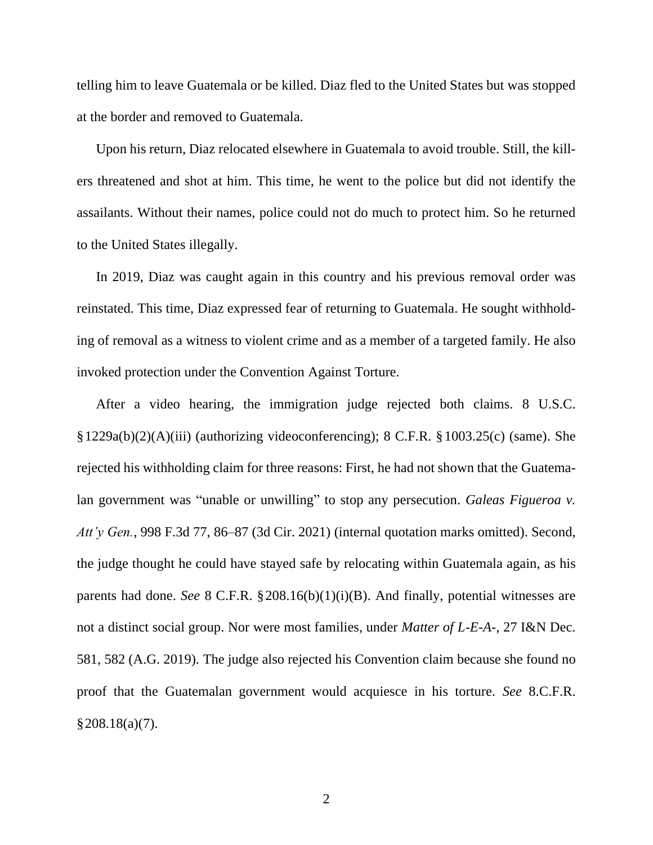telling him to leave Guatemala or be killed. Diaz fled to the United States but was stopped at the border and removed to Guatemala.

Upon his return, Diaz relocated elsewhere in Guatemala to avoid trouble. Still, the killers threatened and shot at him. This time, he went to the police but did not identify the assailants. Without their names, police could not do much to protect him. So he returned to the United States illegally.

In 2019, Diaz was caught again in this country and his previous removal order was reinstated. This time, Diaz expressed fear of returning to Guatemala. He sought withholding of removal as a witness to violent crime and as a member of a targeted family. He also invoked protection under the Convention Against Torture.

After a video hearing, the immigration judge rejected both claims. 8 U.S.C. §1229a(b)(2)(A)(iii) (authorizing videoconferencing); 8 C.F.R. §1003.25(c) (same). She rejected his withholding claim for three reasons: First, he had not shown that the Guatemalan government was "unable or unwilling" to stop any persecution. *Galeas Figueroa v. Att'y Gen.*, 998 F.3d 77, 86–87 (3d Cir. 2021) (internal quotation marks omitted). Second, the judge thought he could have stayed safe by relocating within Guatemala again, as his parents had done. *See* 8 C.F.R. §208.16(b)(1)(i)(B). And finally, potential witnesses are not a distinct social group. Nor were most families, under *Matter of L-E-A-*, 27 I&N Dec. 581, 582 (A.G. 2019). The judge also rejected his Convention claim because she found no proof that the Guatemalan government would acquiesce in his torture. *See* 8.C.F.R. §208.18(a)(7).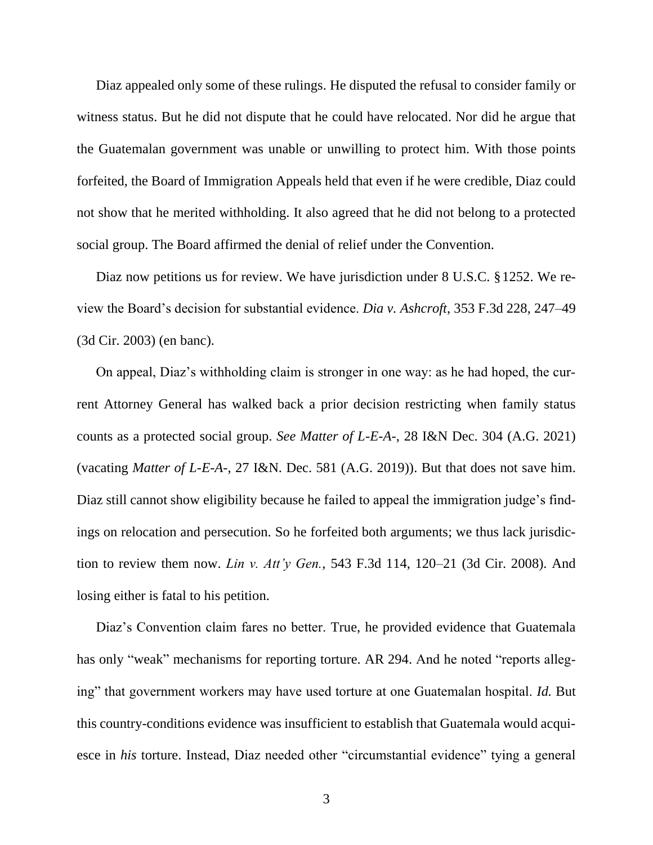Diaz appealed only some of these rulings. He disputed the refusal to consider family or witness status. But he did not dispute that he could have relocated. Nor did he argue that the Guatemalan government was unable or unwilling to protect him. With those points forfeited, the Board of Immigration Appeals held that even if he were credible, Diaz could not show that he merited withholding. It also agreed that he did not belong to a protected social group. The Board affirmed the denial of relief under the Convention.

Diaz now petitions us for review. We have jurisdiction under 8 U.S.C. §1252. We review the Board's decision for substantial evidence. *Dia v. Ashcroft*, 353 F.3d 228, 247–49 (3d Cir. 2003) (en banc).

On appeal, Diaz's withholding claim is stronger in one way: as he had hoped, the current Attorney General has walked back a prior decision restricting when family status counts as a protected social group. *See Matter of L-E-A-*, 28 I&N Dec. 304 (A.G. 2021) (vacating *Matter of L-E-A-*, 27 I&N. Dec. 581 (A.G. 2019)). But that does not save him. Diaz still cannot show eligibility because he failed to appeal the immigration judge's findings on relocation and persecution. So he forfeited both arguments; we thus lack jurisdiction to review them now. *Lin v. Att'y Gen.*, 543 F.3d 114, 120–21 (3d Cir. 2008). And losing either is fatal to his petition.

Diaz's Convention claim fares no better. True, he provided evidence that Guatemala has only "weak" mechanisms for reporting torture. AR 294. And he noted "reports alleging" that government workers may have used torture at one Guatemalan hospital. *Id.* But this country-conditions evidence was insufficient to establish that Guatemala would acquiesce in *his* torture. Instead, Diaz needed other "circumstantial evidence" tying a general